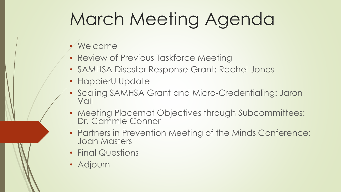# March Meeting Agenda

- Welcome
- Review of Previous Taskforce Meeting
- SAMHSA Disaster Response Grant: Rachel Jones
- HappierU Update
- Scaling SAMHSA Grant and Micro-Credentialing: Jaron Vail
- Meeting Placemat Objectives through Subcommittees: Dr. Cammie Connor
- Partners in Prevention Meeting of the Minds Conference: Joan Masters
- Final Questions
- Adjourn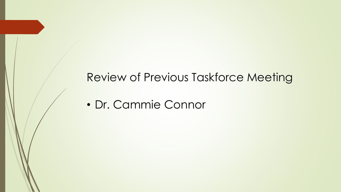#### Review of Previous Taskforce Meeting

• Dr. Cammie Connor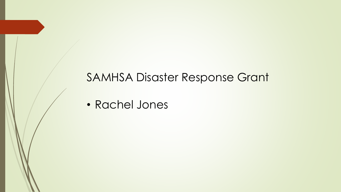#### SAMHSA Disaster Response Grant

• Rachel Jones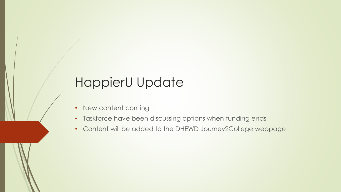# HappierU Update

- New content coming
- Taskforce have been discussing options when funding ends
- Content will be added to the DHEWD Journey2College webpage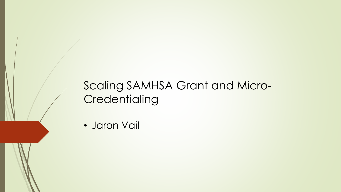## Scaling SAMHSA Grant and Micro-**Credentialing**

• Jaron Vail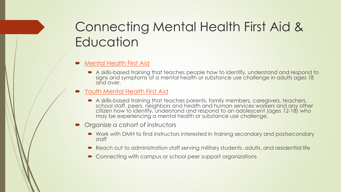# Connecting Mental Health First Aid & **Education**

- [Mental Health First Aid](http://mhfamissouri.org/mental-health-first-aider/) 
	- A skills-based training that teaches people how to identify, understand and respond to signs and symptoms of a mental health or substance use challenge in adults ages 18 and over.
- [Youth Mental Health First Aid](http://mhfamissouri.org/mental-health-first-aider/)
	- A skills-based training that teaches parents, family members, caregivers, teachers, school staff, peers, neighbors and health and human services workers and any other citizen how to identify, understand and respond to an adolescent (ages 12-18) who may be experiencing a mental health or substance use challenge.
- Organize a cohort of instructors
	- Work with DMH to find instructors interested in training secondary and postsecondary staff
	- Reach out to administration staff serving military students, adults, and residential life
	- Connecting with campus or school peer support organizations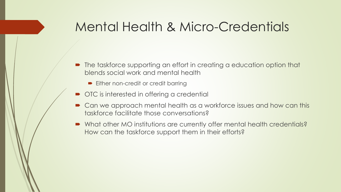## Mental Health & Micro-Credentials

- The taskforce supporting an effort in creating a education option that blends social work and mental health
	- **Either non-credit or credit barring**
- $\bullet$  OTC is interested in offering a credential
- Can we approach mental health as a workforce issues and how can this taskforce facilitate those conversations?
- What other MO institutions are currently offer mental health credentials? How can the taskforce support them in their efforts?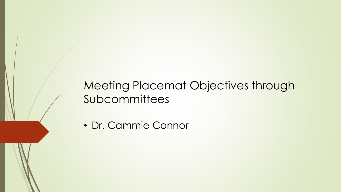## Meeting Placemat Objectives through Subcommittees

• Dr. Cammie Connor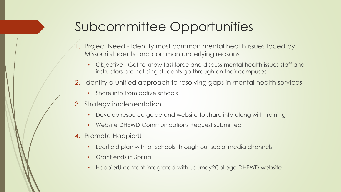# Subcommittee Opportunities

- 1. Project Need Identify most common mental health issues faced by Missouri students and common underlying reasons
	- Objective Get to know taskforce and discuss mental health issues staff and instructors are noticing students go through on their campuses
- 2. Identify a unified approach to resolving gaps in mental health services
	- Share info from active schools
- 3. Strategy implementation
	- Develop resource guide and website to share info along with training
	- Website DHEWD Communications Request submitted
- 4. Promote HappierU
	- Learfield plan with all schools through our social media channels
	- Grant ends in Spring
	- HappierU content integrated with Journey2College DHEWD website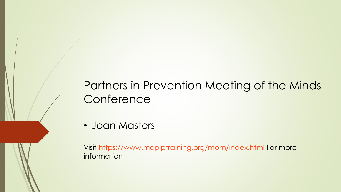## Partners in Prevention Meeting of the Minds **Conference**

• Joan Masters

Visit<https://www.mopiptraining.org/mom/index.html> For more information